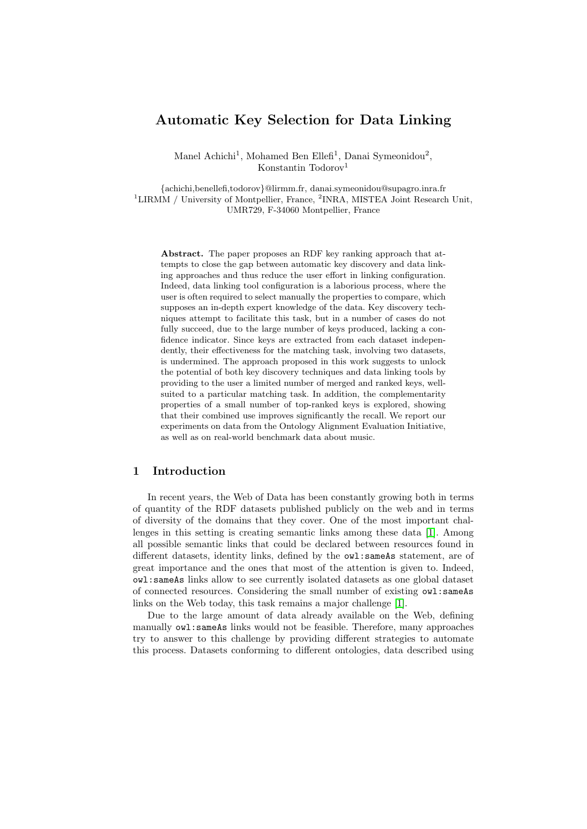# Automatic Key Selection for Data Linking

Manel Achichi<sup>1</sup>, Mohamed Ben Ellefi<sup>1</sup>, Danai Symeonidou<sup>2</sup>, Konstantin Todorov<sup>1</sup>

{achichi,benellefi,todorov}@lirmm.fr, danai.symeonidou@supagro.inra.fr  $1$ LIRMM / University of Montpellier, France,  $2$ INRA, MISTEA Joint Research Unit, UMR729, F-34060 Montpellier, France

Abstract. The paper proposes an RDF key ranking approach that attempts to close the gap between automatic key discovery and data linking approaches and thus reduce the user effort in linking configuration. Indeed, data linking tool configuration is a laborious process, where the user is often required to select manually the properties to compare, which supposes an in-depth expert knowledge of the data. Key discovery techniques attempt to facilitate this task, but in a number of cases do not fully succeed, due to the large number of keys produced, lacking a confidence indicator. Since keys are extracted from each dataset independently, their effectiveness for the matching task, involving two datasets, is undermined. The approach proposed in this work suggests to unlock the potential of both key discovery techniques and data linking tools by providing to the user a limited number of merged and ranked keys, wellsuited to a particular matching task. In addition, the complementarity properties of a small number of top-ranked keys is explored, showing that their combined use improves significantly the recall. We report our experiments on data from the Ontology Alignment Evaluation Initiative, as well as on real-world benchmark data about music.

# 1 Introduction

In recent years, the Web of Data has been constantly growing both in terms of quantity of the RDF datasets published publicly on the web and in terms of diversity of the domains that they cover. One of the most important challenges in this setting is creating semantic links among these data [\[1\]](#page-13-0). Among all possible semantic links that could be declared between resources found in different datasets, identity links, defined by the  $ovl:$  sameAs statement, are of great importance and the ones that most of the attention is given to. Indeed, owl:sameAs links allow to see currently isolated datasets as one global dataset of connected resources. Considering the small number of existing owl:sameAs links on the Web today, this task remains a major challenge [\[1\]](#page-13-0).

Due to the large amount of data already available on the Web, defining manually owl:sameAs links would not be feasible. Therefore, many approaches try to answer to this challenge by providing different strategies to automate this process. Datasets conforming to different ontologies, data described using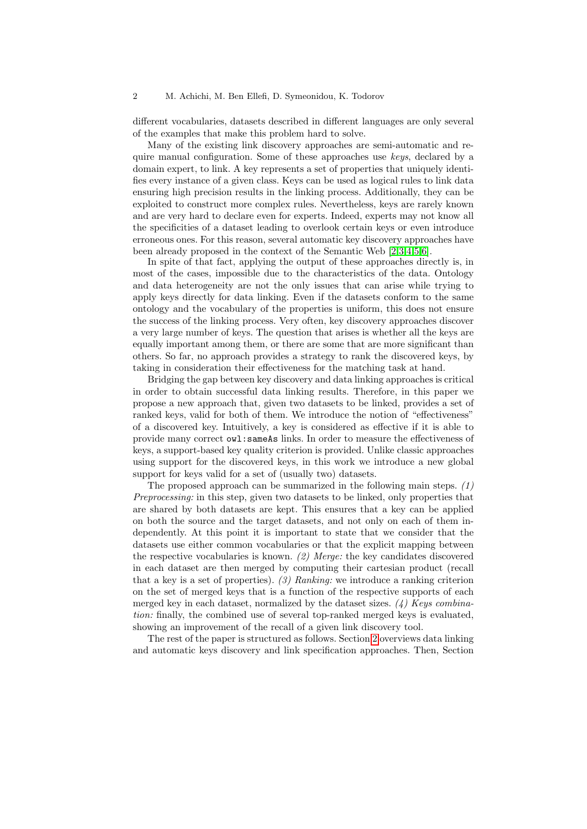different vocabularies, datasets described in different languages are only several of the examples that make this problem hard to solve.

Many of the existing link discovery approaches are semi-automatic and require manual configuration. Some of these approaches use keys, declared by a domain expert, to link. A key represents a set of properties that uniquely identifies every instance of a given class. Keys can be used as logical rules to link data ensuring high precision results in the linking process. Additionally, they can be exploited to construct more complex rules. Nevertheless, keys are rarely known and are very hard to declare even for experts. Indeed, experts may not know all the specificities of a dataset leading to overlook certain keys or even introduce erroneous ones. For this reason, several automatic key discovery approaches have been already proposed in the context of the Semantic Web [\[2,](#page-13-1)[3,](#page-14-0)[4](#page-14-1)[,5,](#page-14-2)[6\]](#page-14-3).

In spite of that fact, applying the output of these approaches directly is, in most of the cases, impossible due to the characteristics of the data. Ontology and data heterogeneity are not the only issues that can arise while trying to apply keys directly for data linking. Even if the datasets conform to the same ontology and the vocabulary of the properties is uniform, this does not ensure the success of the linking process. Very often, key discovery approaches discover a very large number of keys. The question that arises is whether all the keys are equally important among them, or there are some that are more significant than others. So far, no approach provides a strategy to rank the discovered keys, by taking in consideration their effectiveness for the matching task at hand.

Bridging the gap between key discovery and data linking approaches is critical in order to obtain successful data linking results. Therefore, in this paper we propose a new approach that, given two datasets to be linked, provides a set of ranked keys, valid for both of them. We introduce the notion of "effectiveness" of a discovered key. Intuitively, a key is considered as effective if it is able to provide many correct owl:sameAs links. In order to measure the effectiveness of keys, a support-based key quality criterion is provided. Unlike classic approaches using support for the discovered keys, in this work we introduce a new global support for keys valid for a set of (usually two) datasets.

The proposed approach can be summarized in the following main steps.  $(1)$ Preprocessing: in this step, given two datasets to be linked, only properties that are shared by both datasets are kept. This ensures that a key can be applied on both the source and the target datasets, and not only on each of them independently. At this point it is important to state that we consider that the datasets use either common vocabularies or that the explicit mapping between the respective vocabularies is known.  $(2)$  Merge: the key candidates discovered in each dataset are then merged by computing their cartesian product (recall that a key is a set of properties). (3) Ranking: we introduce a ranking criterion on the set of merged keys that is a function of the respective supports of each merged key in each dataset, normalized by the dataset sizes.  $(4)$  Keys combination: finally, the combined use of several top-ranked merged keys is evaluated, showing an improvement of the recall of a given link discovery tool.

The rest of the paper is structured as follows. Section [2](#page-2-0) overviews data linking and automatic keys discovery and link specification approaches. Then, Section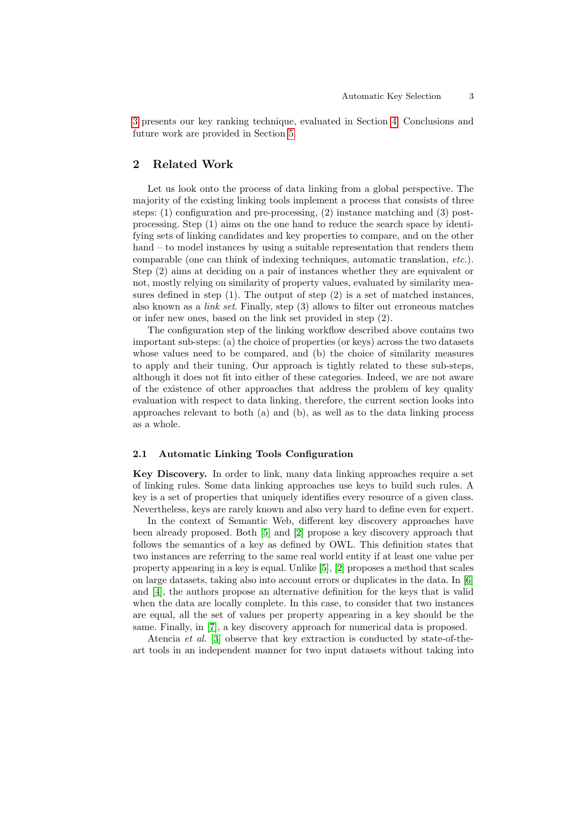[3](#page-4-0) presents our key ranking technique, evaluated in Section [4.](#page-8-0) Conclusions and future work are provided in Section [5.](#page-13-2)

# <span id="page-2-0"></span>2 Related Work

Let us look onto the process of data linking from a global perspective. The majority of the existing linking tools implement a process that consists of three steps: (1) configuration and pre-processing, (2) instance matching and (3) postprocessing. Step (1) aims on the one hand to reduce the search space by identifying sets of linking candidates and key properties to compare, and on the other hand – to model instances by using a suitable representation that renders them comparable (one can think of indexing techniques, automatic translation, etc.). Step (2) aims at deciding on a pair of instances whether they are equivalent or not, mostly relying on similarity of property values, evaluated by similarity measures defined in step  $(1)$ . The output of step  $(2)$  is a set of matched instances, also known as a link set. Finally, step (3) allows to filter out erroneous matches or infer new ones, based on the link set provided in step (2).

The configuration step of the linking workflow described above contains two important sub-steps: (a) the choice of properties (or keys) across the two datasets whose values need to be compared, and (b) the choice of similarity measures to apply and their tuning. Our approach is tightly related to these sub-steps, although it does not fit into either of these categories. Indeed, we are not aware of the existence of other approaches that address the problem of key quality evaluation with respect to data linking, therefore, the current section looks into approaches relevant to both (a) and (b), as well as to the data linking process as a whole.

### <span id="page-2-1"></span>2.1 Automatic Linking Tools Configuration

Key Discovery. In order to link, many data linking approaches require a set of linking rules. Some data linking approaches use keys to build such rules. A key is a set of properties that uniquely identifies every resource of a given class. Nevertheless, keys are rarely known and also very hard to define even for expert.

In the context of Semantic Web, different key discovery approaches have been already proposed. Both [\[5\]](#page-14-2) and [\[2\]](#page-13-1) propose a key discovery approach that follows the semantics of a key as defined by OWL. This definition states that two instances are referring to the same real world entity if at least one value per property appearing in a key is equal. Unlike [\[5\]](#page-14-2), [\[2\]](#page-13-1) proposes a method that scales on large datasets, taking also into account errors or duplicates in the data. In [\[6\]](#page-14-3) and [\[4\]](#page-14-1), the authors propose an alternative definition for the keys that is valid when the data are locally complete. In this case, to consider that two instances are equal, all the set of values per property appearing in a key should be the same. Finally, in [\[7\]](#page-14-4), a key discovery approach for numerical data is proposed.

Atencia et al. [\[3\]](#page-14-0) observe that key extraction is conducted by state-of-theart tools in an independent manner for two input datasets without taking into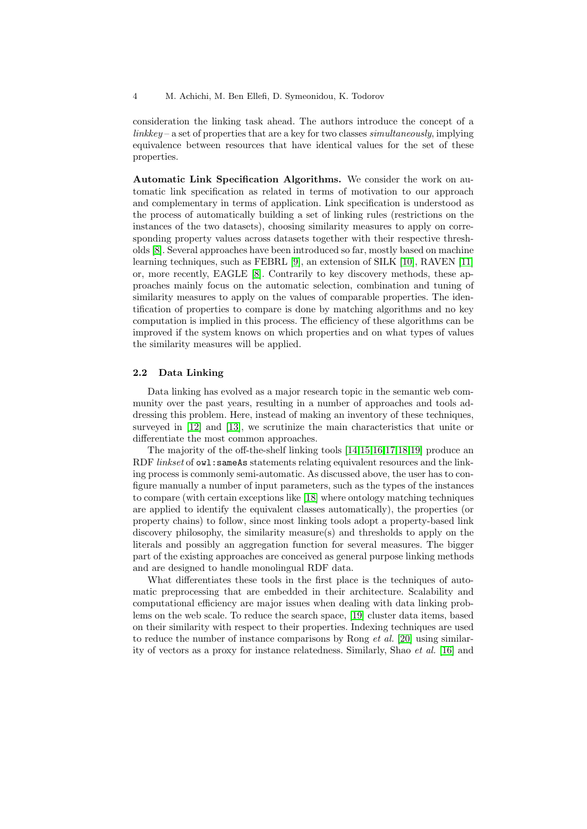consideration the linking task ahead. The authors introduce the concept of a linkkey – a set of properties that are a key for two classes simultaneously, implying equivalence between resources that have identical values for the set of these properties.

Automatic Link Specification Algorithms. We consider the work on automatic link specification as related in terms of motivation to our approach and complementary in terms of application. Link specification is understood as the process of automatically building a set of linking rules (restrictions on the instances of the two datasets), choosing similarity measures to apply on corresponding property values across datasets together with their respective thresholds [\[8\]](#page-14-5). Several approaches have been introduced so far, mostly based on machine learning techniques, such as FEBRL [\[9\]](#page-14-6), an extension of SILK [\[10\]](#page-14-7), RAVEN [\[11\]](#page-14-8) or, more recently, EAGLE [\[8\]](#page-14-5). Contrarily to key discovery methods, these approaches mainly focus on the automatic selection, combination and tuning of similarity measures to apply on the values of comparable properties. The identification of properties to compare is done by matching algorithms and no key computation is implied in this process. The efficiency of these algorithms can be improved if the system knows on which properties and on what types of values the similarity measures will be applied.

#### 2.2 Data Linking

Data linking has evolved as a major research topic in the semantic web community over the past years, resulting in a number of approaches and tools addressing this problem. Here, instead of making an inventory of these techniques, surveyed in [\[12\]](#page-14-9) and [\[13\]](#page-14-10), we scrutinize the main characteristics that unite or differentiate the most common approaches.

The majority of the off-the-shelf linking tools [\[14,](#page-14-11)[15](#page-14-12)[,16,](#page-14-13)[17,](#page-14-14)[18,](#page-14-15)[19\]](#page-14-16) produce an RDF *linkset* of owl: sameAs statements relating equivalent resources and the linking process is commonly semi-automatic. As discussed above, the user has to configure manually a number of input parameters, such as the types of the instances to compare (with certain exceptions like [\[18\]](#page-14-15) where ontology matching techniques are applied to identify the equivalent classes automatically), the properties (or property chains) to follow, since most linking tools adopt a property-based link discovery philosophy, the similarity measure(s) and thresholds to apply on the literals and possibly an aggregation function for several measures. The bigger part of the existing approaches are conceived as general purpose linking methods and are designed to handle monolingual RDF data.

What differentiates these tools in the first place is the techniques of automatic preprocessing that are embedded in their architecture. Scalability and computational efficiency are major issues when dealing with data linking problems on the web scale. To reduce the search space, [\[19\]](#page-14-16) cluster data items, based on their similarity with respect to their properties. Indexing techniques are used to reduce the number of instance comparisons by Rong *et al.* [\[20\]](#page-14-17) using similarity of vectors as a proxy for instance relatedness. Similarly, Shao et al. [\[16\]](#page-14-13) and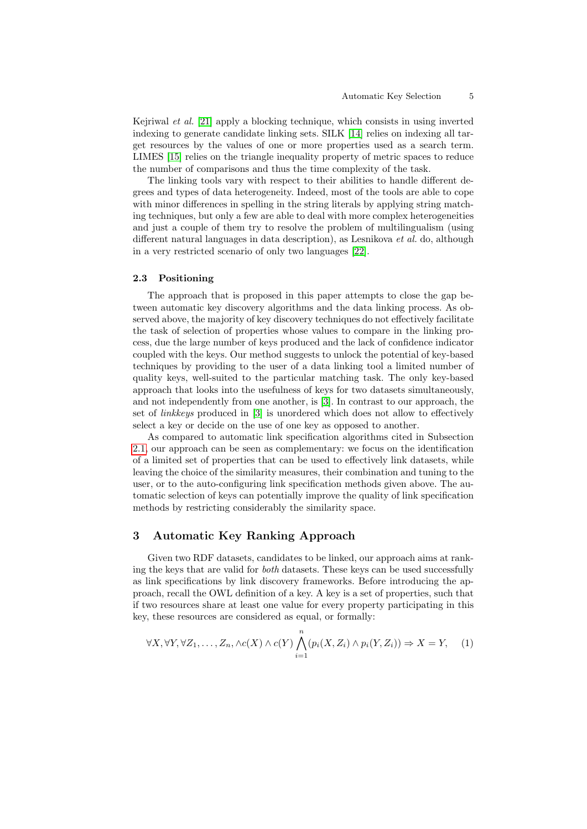Kejriwal et al. [\[21\]](#page-14-18) apply a blocking technique, which consists in using inverted indexing to generate candidate linking sets. SILK [\[14\]](#page-14-11) relies on indexing all target resources by the values of one or more properties used as a search term. LIMES [\[15\]](#page-14-12) relies on the triangle inequality property of metric spaces to reduce the number of comparisons and thus the time complexity of the task.

The linking tools vary with respect to their abilities to handle different degrees and types of data heterogeneity. Indeed, most of the tools are able to cope with minor differences in spelling in the string literals by applying string matching techniques, but only a few are able to deal with more complex heterogeneities and just a couple of them try to resolve the problem of multilingualism (using different natural languages in data description), as Lesnikova et al. do, although in a very restricted scenario of only two languages [\[22\]](#page-14-19).

### 2.3 Positioning

The approach that is proposed in this paper attempts to close the gap between automatic key discovery algorithms and the data linking process. As observed above, the majority of key discovery techniques do not effectively facilitate the task of selection of properties whose values to compare in the linking process, due the large number of keys produced and the lack of confidence indicator coupled with the keys. Our method suggests to unlock the potential of key-based techniques by providing to the user of a data linking tool a limited number of quality keys, well-suited to the particular matching task. The only key-based approach that looks into the usefulness of keys for two datasets simultaneously, and not independently from one another, is [\[3\]](#page-14-0). In contrast to our approach, the set of linkkeys produced in [\[3\]](#page-14-0) is unordered which does not allow to effectively select a key or decide on the use of one key as opposed to another.

As compared to automatic link specification algorithms cited in Subsection [2.1,](#page-2-1) our approach can be seen as complementary: we focus on the identification of a limited set of properties that can be used to effectively link datasets, while leaving the choice of the similarity measures, their combination and tuning to the user, or to the auto-configuring link specification methods given above. The automatic selection of keys can potentially improve the quality of link specification methods by restricting considerably the similarity space.

# <span id="page-4-0"></span>3 Automatic Key Ranking Approach

Given two RDF datasets, candidates to be linked, our approach aims at ranking the keys that are valid for both datasets. These keys can be used successfully as link specifications by link discovery frameworks. Before introducing the approach, recall the OWL definition of a key. A key is a set of properties, such that if two resources share at least one value for every property participating in this key, these resources are considered as equal, or formally:

$$
\forall X, \forall Y, \forall Z_1, \dots, Z_n, \wedge c(X) \wedge c(Y) \bigwedge_{i=1}^n (p_i(X, Z_i) \wedge p_i(Y, Z_i)) \Rightarrow X = Y, \quad (1)
$$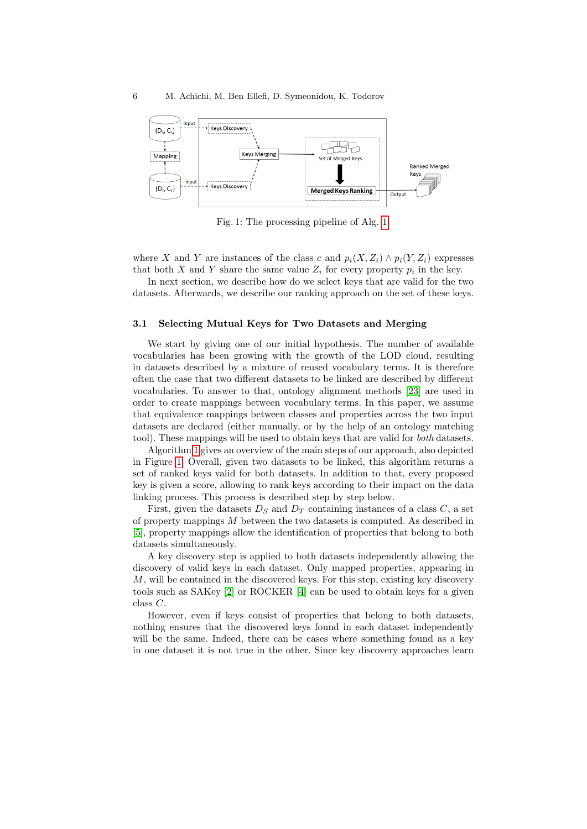<span id="page-5-0"></span>

Fig. 1: The processing pipeline of Alg. [1.](#page-6-0)

where X and Y are instances of the class c and  $p_i(X, Z_i) \wedge p_i(Y, Z_i)$  expresses that both X and Y share the same value  $Z_i$  for every property  $p_i$  in the key.

In next section, we describe how do we select keys that are valid for the two datasets. Afterwards, we describe our ranking approach on the set of these keys.

# 3.1 Selecting Mutual Keys for Two Datasets and Merging

We start by giving one of our initial hypothesis. The number of available vocabularies has been growing with the growth of the LOD cloud, resulting in datasets described by a mixture of reused vocabulary terms. It is therefore often the case that two different datasets to be linked are described by different vocabularies. To answer to that, ontology alignment methods [\[23\]](#page-14-20) are used in order to create mappings between vocabulary terms. In this paper, we assume that equivalence mappings between classes and properties across the two input datasets are declared (either manually, or by the help of an ontology matching tool). These mappings will be used to obtain keys that are valid for both datasets.

Algorithm [1](#page-6-0) gives an overview of the main steps of our approach, also depicted in Figure [1.](#page-5-0) Overall, given two datasets to be linked, this algorithm returns a set of ranked keys valid for both datasets. In addition to that, every proposed key is given a score, allowing to rank keys according to their impact on the data linking process. This process is described step by step below.

First, given the datasets  $D<sub>S</sub>$  and  $D<sub>T</sub>$  containing instances of a class C, a set of property mappings M between the two datasets is computed. As described in [\[5\]](#page-14-2), property mappings allow the identification of properties that belong to both datasets simultaneously.

A key discovery step is applied to both datasets independently allowing the discovery of valid keys in each dataset. Only mapped properties, appearing in M, will be contained in the discovered keys. For this step, existing key discovery tools such as SAKey [\[2\]](#page-13-1) or ROCKER [\[4\]](#page-14-1) can be used to obtain keys for a given class C.

However, even if keys consist of properties that belong to both datasets, nothing ensures that the discovered keys found in each dataset independently will be the same. Indeed, there can be cases where something found as a key in one dataset it is not true in the other. Since key discovery approaches learn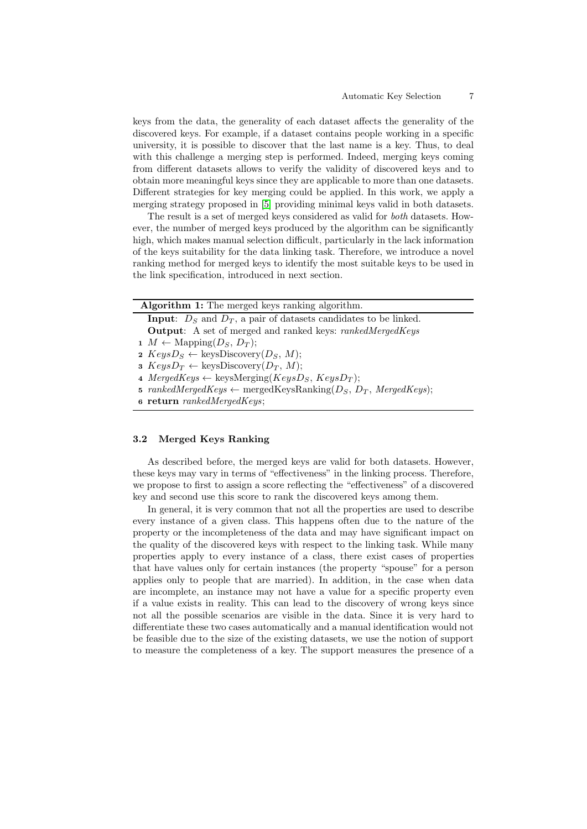keys from the data, the generality of each dataset affects the generality of the discovered keys. For example, if a dataset contains people working in a specific university, it is possible to discover that the last name is a key. Thus, to deal with this challenge a merging step is performed. Indeed, merging keys coming from different datasets allows to verify the validity of discovered keys and to obtain more meaningful keys since they are applicable to more than one datasets. Different strategies for key merging could be applied. In this work, we apply a merging strategy proposed in [\[5\]](#page-14-2) providing minimal keys valid in both datasets.

The result is a set of merged keys considered as valid for both datasets. However, the number of merged keys produced by the algorithm can be significantly high, which makes manual selection difficult, particularly in the lack information of the keys suitability for the data linking task. Therefore, we introduce a novel ranking method for merged keys to identify the most suitable keys to be used in the link specification, introduced in next section.

|  | <b>Algorithm 1:</b> The merged keys ranking algorithm. |  |  |  |  |  |  |
|--|--------------------------------------------------------|--|--|--|--|--|--|
|--|--------------------------------------------------------|--|--|--|--|--|--|

| <b>Input:</b> $DS$ and $DT$ , a pair of datasets candidates to be linked. |  |
|---------------------------------------------------------------------------|--|
| <b>Output:</b> A set of merged and ranked keys: ranked Merged Keys        |  |
| $1 M \leftarrow \text{Mapping}(D_S, D_T);$                                |  |

2  $KeysD<sub>S</sub> \leftarrow keysDiscount(D<sub>S</sub>, M);$ 

- 3  $KeysD_T \leftarrow \text{keysDiscovery}(D_T, M);$
- 4 MergedKeys  $\leftarrow$  keysMerging(Keys $D_S$ , Keys $D_T$ );
- 5 rankedMergedKeys  $\leftarrow$  mergedKeysRanking( $D_S$ ,  $D_T$ , MergedKeys);

# 3.2 Merged Keys Ranking

As described before, the merged keys are valid for both datasets. However, these keys may vary in terms of "effectiveness" in the linking process. Therefore, we propose to first to assign a score reflecting the "effectiveness" of a discovered key and second use this score to rank the discovered keys among them.

In general, it is very common that not all the properties are used to describe every instance of a given class. This happens often due to the nature of the property or the incompleteness of the data and may have significant impact on the quality of the discovered keys with respect to the linking task. While many properties apply to every instance of a class, there exist cases of properties that have values only for certain instances (the property "spouse" for a person applies only to people that are married). In addition, in the case when data are incomplete, an instance may not have a value for a specific property even if a value exists in reality. This can lead to the discovery of wrong keys since not all the possible scenarios are visible in the data. Since it is very hard to differentiate these two cases automatically and a manual identification would not be feasible due to the size of the existing datasets, we use the notion of support to measure the completeness of a key. The support measures the presence of a

<span id="page-6-0"></span><sup>6</sup> return rankedMergedKeys;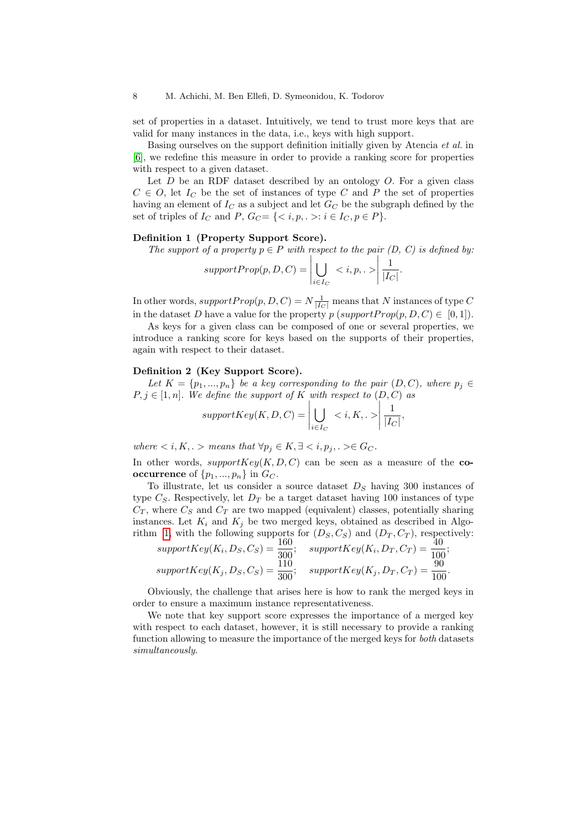set of properties in a dataset. Intuitively, we tend to trust more keys that are valid for many instances in the data, i.e., keys with high support.

Basing ourselves on the support definition initially given by Atencia et al. in [\[6\]](#page-14-3), we redefine this measure in order to provide a ranking score for properties with respect to a given dataset.

Let  $D$  be an RDF dataset described by an ontology  $O$ . For a given class  $C \in O$ , let  $I_C$  be the set of instances of type C and P the set of properties having an element of  $I_C$  as a subject and let  $G_C$  be the subgraph defined by the set of triples of  $I_C$  and  $P, G_C = \{ \langle i, p, \rangle : i \in I_C, p \in P \}.$ 

# Definition 1 (Property Support Score).

The support of a property  $p \in P$  with respect to the pair  $(D, C)$  is defined by:

$$
supportProp(p, D, C) = \left| \bigcup_{i \in I_C} < i, p, \ldots \right| \frac{1}{|I_C|}.
$$

In other words,  $supportProp(p, D, C) = N \frac{1}{|I_C|}$  means that N instances of type C in the dataset D have a value for the property p  $(supportProp(p, D, C) \in [0, 1]).$ 

As keys for a given class can be composed of one or several properties, we introduce a ranking score for keys based on the supports of their properties, again with respect to their dataset.

#### Definition 2 (Key Support Score).

Let  $K = \{p_1, ..., p_n\}$  be a key corresponding to the pair  $(D, C)$ , where  $p_j \in$  $P, j \in [1, n]$ . We define the support of K with respect to  $(D, C)$  as

$$
supportKey(K, D, C) = \left| \bigcup_{i \in I_C} < i, K, .\right| \ge \left| \frac{1}{|I_C|}, \right|
$$

where  $> means that  $\forall p_i \in K, \exists  > $\in G_C$ .$$ 

In other words, support  $Key(K, D, C)$  can be seen as a measure of the cooccurrence of  $\{p_1, ..., p_n\}$  in  $G_C$ .

To illustrate, let us consider a source dataset  $D<sub>S</sub>$  having 300 instances of type  $C_S$ . Respectively, let  $D_T$  be a target dataset having 100 instances of type  $C_T$ , where  $C_S$  and  $C_T$  are two mapped (equivalent) classes, potentially sharing instances. Let  $K_i$  and  $K_j$  be two merged keys, obtained as described in Algo-rithm [1,](#page-6-0) with the following supports for  $(D_S, C_S)$  and  $(D_T, C_T)$ , respectively:

$$
supportKey(K_i, D_S, C_S) = \frac{160}{300};
$$
  
\n
$$
supportKey(K_j, D_S, C_S) = \frac{110}{300};
$$
  
\n
$$
supportKey(K_j, D_S, C_S) = \frac{110}{300};
$$
  
\n
$$
supportKey(K_j, D_T, C_T) = \frac{90}{100}.
$$

Obviously, the challenge that arises here is how to rank the merged keys in order to ensure a maximum instance representativeness.

We note that key support score expresses the importance of a merged key with respect to each dataset, however, it is still necessary to provide a ranking function allowing to measure the importance of the merged keys for both datasets simultaneously.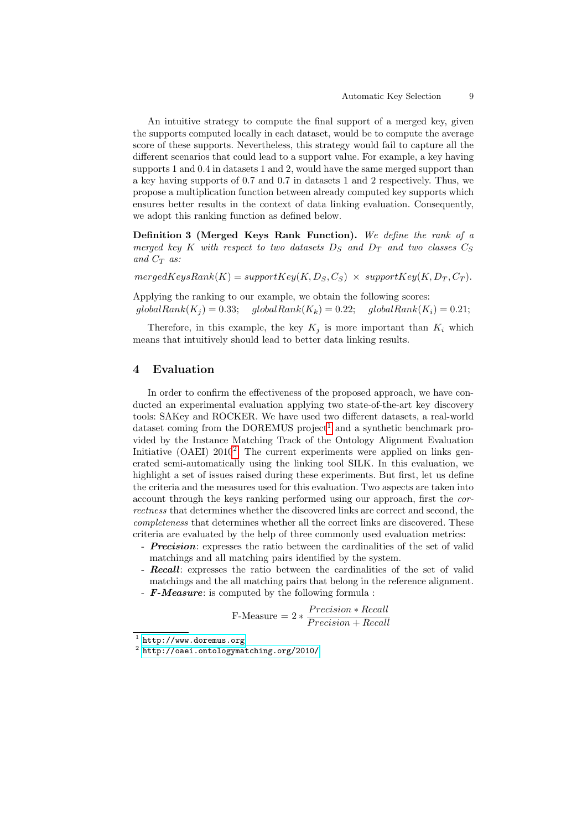An intuitive strategy to compute the final support of a merged key, given the supports computed locally in each dataset, would be to compute the average score of these supports. Nevertheless, this strategy would fail to capture all the different scenarios that could lead to a support value. For example, a key having supports 1 and 0.4 in datasets 1 and 2, would have the same merged support than a key having supports of 0.7 and 0.7 in datasets 1 and 2 respectively. Thus, we propose a multiplication function between already computed key supports which ensures better results in the context of data linking evaluation. Consequently, we adopt this ranking function as defined below.

Definition 3 (Merged Keys Rank Function). We define the rank of a merged key K with respect to two datasets  $D_S$  and  $D_T$  and two classes  $C_S$ and  $C_T$  as:

 $mergedKeysRank(K) = supportKey(K, D_S, C_S) \times supportKey(K, D_T, C_T).$ 

Applying the ranking to our example, we obtain the following scores:  $qlobalRank(K_i) = 0.33; \quad qlobalRank(K_k) = 0.22; \quad qlobalRank(K_i) = 0.21;$ 

Therefore, in this example, the key  $K_i$  is more important than  $K_i$  which means that intuitively should lead to better data linking results.

# <span id="page-8-0"></span>4 Evaluation

In order to confirm the effectiveness of the proposed approach, we have conducted an experimental evaluation applying two state-of-the-art key discovery tools: SAKey and ROCKER. We have used two different datasets, a real-world dataset coming from the DOREMUS project<sup>[1](#page-8-1)</sup> and a synthetic benchmark provided by the Instance Matching Track of the Ontology Alignment Evaluation Initiative (OAEI) [2](#page-8-2)010<sup>2</sup>. The current experiments were applied on links generated semi-automatically using the linking tool SILK. In this evaluation, we highlight a set of issues raised during these experiments. But first, let us define the criteria and the measures used for this evaluation. Two aspects are taken into account through the keys ranking performed using our approach, first the correctness that determines whether the discovered links are correct and second, the completeness that determines whether all the correct links are discovered. These criteria are evaluated by the help of three commonly used evaluation metrics:

- **Precision**: expresses the ratio between the cardinalities of the set of valid matchings and all matching pairs identified by the system.
- **Recall:** expresses the ratio between the cardinalities of the set of valid matchings and the all matching pairs that belong in the reference alignment.
- $\mathbf{F}\text{-}Measure:$  is computed by the following formula :

$$
F\text{-Measure} = 2 * \frac{Precision * Recall}{Precision + Recall}
$$

<span id="page-8-1"></span><sup>1</sup> <http://www.doremus.org>

<span id="page-8-2"></span> $^2$  <http://oaei.ontologymatching.org/2010/>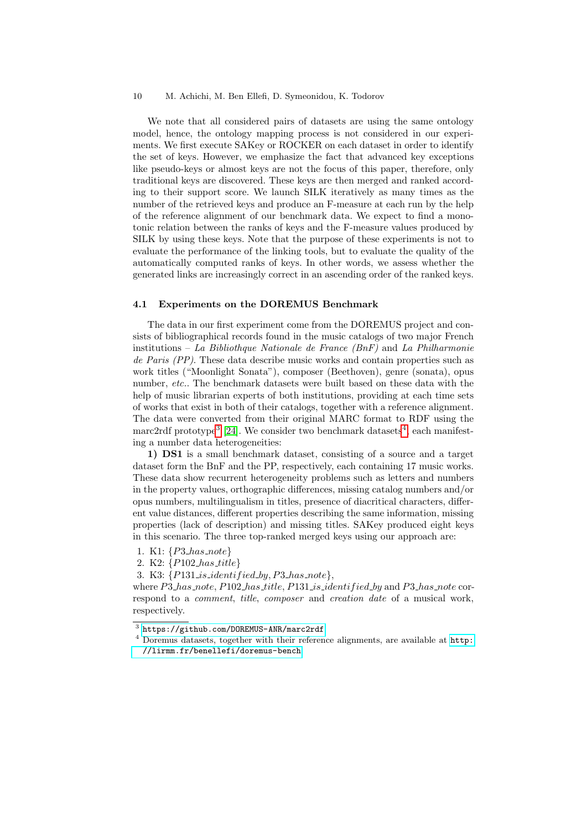#### 10 M. Achichi, M. Ben Ellefi, D. Symeonidou, K. Todorov

We note that all considered pairs of datasets are using the same ontology model, hence, the ontology mapping process is not considered in our experiments. We first execute SAKey or ROCKER on each dataset in order to identify the set of keys. However, we emphasize the fact that advanced key exceptions like pseudo-keys or almost keys are not the focus of this paper, therefore, only traditional keys are discovered. These keys are then merged and ranked according to their support score. We launch SILK iteratively as many times as the number of the retrieved keys and produce an F-measure at each run by the help of the reference alignment of our benchmark data. We expect to find a monotonic relation between the ranks of keys and the F-measure values produced by SILK by using these keys. Note that the purpose of these experiments is not to evaluate the performance of the linking tools, but to evaluate the quality of the automatically computed ranks of keys. In other words, we assess whether the generated links are increasingly correct in an ascending order of the ranked keys.

#### 4.1 Experiments on the DOREMUS Benchmark

The data in our first experiment come from the DOREMUS project and consists of bibliographical records found in the music catalogs of two major French institutions – La Bibliothque Nationale de France  $(BnF)$  and La Philharmonie de Paris (PP). These data describe music works and contain properties such as work titles ("Moonlight Sonata"), composer (Beethoven), genre (sonata), opus number, *etc.*. The benchmark datasets were built based on these data with the help of music librarian experts of both institutions, providing at each time sets of works that exist in both of their catalogs, together with a reference alignment. The data were converted from their original MARC format to RDF using the marc2rdf prototype<sup>[3](#page-9-0)</sup> [\[24\]](#page-14-21). We consider two benchmark datasets<sup>[4](#page-9-1)</sup>, each manifesting a number data heterogeneities:

1) DS1 is a small benchmark dataset, consisting of a source and a target dataset form the BnF and the PP, respectively, each containing 17 music works. These data show recurrent heterogeneity problems such as letters and numbers in the property values, orthographic differences, missing catalog numbers and/or opus numbers, multilingualism in titles, presence of diacritical characters, different value distances, different properties describing the same information, missing properties (lack of description) and missing titles. SAKey produced eight keys in this scenario. The three top-ranked merged keys using our approach are:

- 1. K1: {P3 has note}
- 2. K2: {P102 has title}
- 3. K3:  $\{P131_is_identified_by, P3\_has\_note\},\$

where P3\_has\_note, P102\_has\_title, P131\_is\_identified\_by and P3\_has\_note correspond to a *comment*, *title, composer* and *creation date* of a musical work, respectively.

<span id="page-9-0"></span><sup>3</sup> <https://github.com/DOREMUS-ANR/marc2rdf>

<span id="page-9-1"></span><sup>4</sup> Doremus datasets, together with their reference alignments, are available at [http:](http://lirmm.fr/benellefi/doremus-bench) [//lirmm.fr/benellefi/doremus-bench](http://lirmm.fr/benellefi/doremus-bench)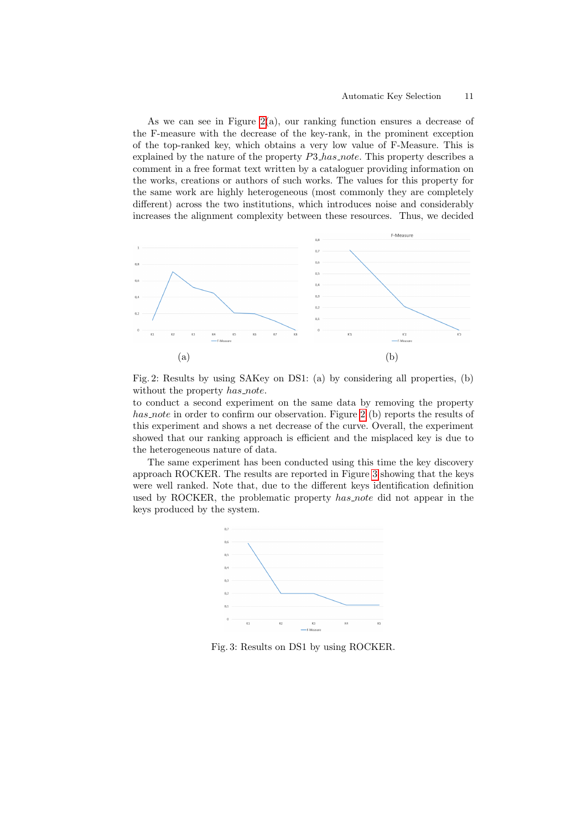As we can see in Figure  $2(a)$ , our ranking function ensures a decrease of the F-measure with the decrease of the key-rank, in the prominent exception of the top-ranked key, which obtains a very low value of F-Measure. This is explained by the nature of the property  $P3\text{-}has\text{-}note$ . This property describes a comment in a free format text written by a cataloguer providing information on the works, creations or authors of such works. The values for this property for the same work are highly heterogeneous (most commonly they are completely different) across the two institutions, which introduces noise and considerably increases the alignment complexity between these resources. Thus, we decided

<span id="page-10-0"></span>

Fig. 2: Results by using SAKey on DS1: (a) by considering all properties, (b) without the property has note.

to conduct a second experiment on the same data by removing the property has note in order to confirm our observation. Figure [2](#page-10-0) (b) reports the results of this experiment and shows a net decrease of the curve. Overall, the experiment showed that our ranking approach is efficient and the misplaced key is due to the heterogeneous nature of data.

The same experiment has been conducted using this time the key discovery approach ROCKER. The results are reported in Figure [3](#page-10-1) showing that the keys were well ranked. Note that, due to the different keys identification definition used by ROCKER, the problematic property has note did not appear in the keys produced by the system.



<span id="page-10-1"></span>Fig. 3: Results on DS1 by using ROCKER.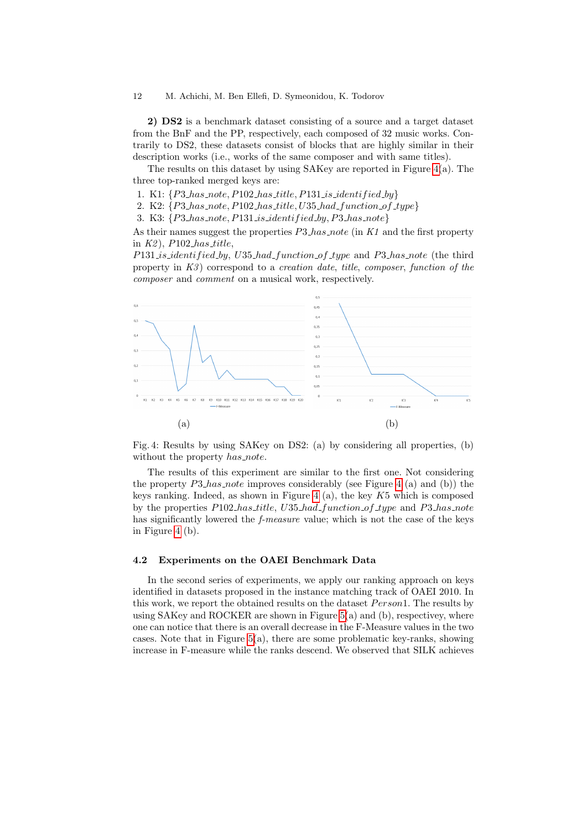#### 12 M. Achichi, M. Ben Ellefi, D. Symeonidou, K. Todorov

2) DS2 is a benchmark dataset consisting of a source and a target dataset from the BnF and the PP, respectively, each composed of 32 music works. Contrarily to DS2, these datasets consist of blocks that are highly similar in their description works (i.e., works of the same composer and with same titles).

The results on this dataset by using SAKey are reported in Figure  $4(a)$ . The three top-ranked merged keys are:

1. K1:  $\{P3\_has\_note, P102\_has\_title, P131\_is\_identified\_by\}$ 

2. K2:  $\{P3\_has\_note, P102\_has\_title, U35\_had\_function\_of\_type\}$ 

3. K3:  $\{P3\_{has\_note}, P131\_is\_identified\_by, P3\_has\_note\}$ 

As their names suggest the properties  $P3\_{has\_note}$  (in K1 and the first property in  $K2$ ),  $P102$ <sub>has\_title</sub>,

P131 *is identified by, U35 had function of type* and P3 has note (the third property in  $K3$ ) correspond to a *creation date*, *title, composer, function of the* composer and comment on a musical work, respectively.

<span id="page-11-0"></span>

Fig. 4: Results by using SAKey on DS2: (a) by considering all properties, (b) without the property has note.

The results of this experiment are similar to the first one. Not considering the property  $P3 \text{.} \text{has} \text{.} \text{note}$  improves considerably (see Figure [4](#page-11-0) (a) and (b)) the keys ranking. Indeed, as shown in Figure [4](#page-11-0) (a), the key  $K5$  which is composed by the properties  $P102$ -has-title, U35-had-function-of-type and P3-has-note has significantly lowered the *f-measure* value; which is not the case of the keys in Figure [4](#page-11-0) (b).

#### 4.2 Experiments on the OAEI Benchmark Data

In the second series of experiments, we apply our ranking approach on keys identified in datasets proposed in the instance matching track of OAEI 2010. In this work, we report the obtained results on the dataset  $Person1$ . The results by using SAKey and ROCKER are shown in Figure  $5(a)$  and  $(b)$ , respectivey, where one can notice that there is an overall decrease in the F-Measure values in the two cases. Note that in Figure  $5(a)$ , there are some problematic key-ranks, showing increase in F-measure while the ranks descend. We observed that SILK achieves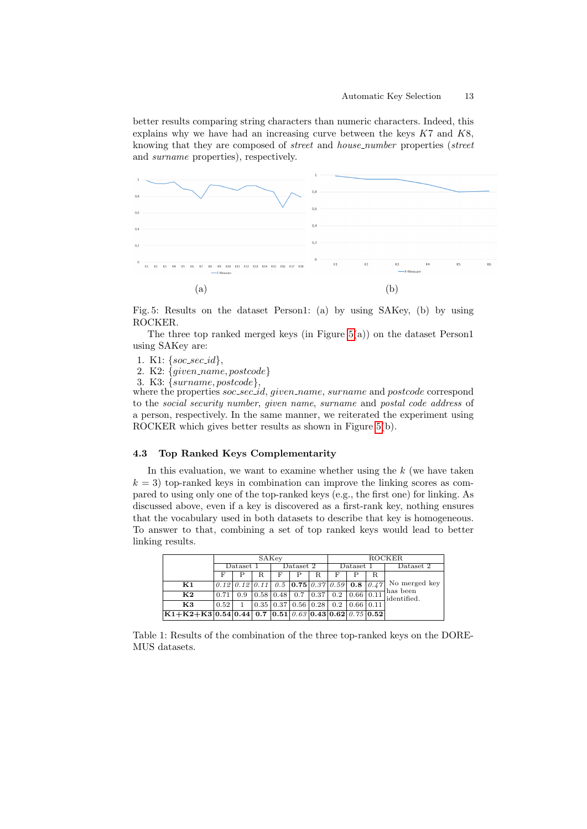better results comparing string characters than numeric characters. Indeed, this explains why we have had an increasing curve between the keys  $K7$  and  $K8$ , knowing that they are composed of street and house number properties (street and surname properties), respectively.

<span id="page-12-0"></span>

Fig. 5: Results on the dataset Person1: (a) by using SAKey, (b) by using ROCKER.

The three top ranked merged keys (in Figure  $5(a)$ ) on the dataset Person1 using SAKey are:

- 1. K1:  $\{soc\_sec_id\},\$
- 2. K2:  $\{given_name, postcode\}$
- 3. K3: {surname, postcode},

where the properties soc\_sec\_id, given\_name, surname and postcode correspond to the social security number, given name, surname and postal code address of a person, respectively. In the same manner, we reiterated the experiment using ROCKER which gives better results as shown in Figure [5\(](#page-12-0)b).

# 4.3 Top Ranked Keys Complementarity

In this evaluation, we want to examine whether using the  $k$  (we have taken  $k = 3$ ) top-ranked keys in combination can improve the linking scores as compared to using only one of the top-ranked keys (e.g., the first one) for linking. As discussed above, even if a key is discovered as a first-rank key, nothing ensures that the vocabulary used in both datasets to describe that key is homogeneous. To answer to that, combining a set of top ranked keys would lead to better linking results.

|                                                          | SAKey     |     |           |   |           |    | <b>ROCKER</b>                                                                |           |    |                           |
|----------------------------------------------------------|-----------|-----|-----------|---|-----------|----|------------------------------------------------------------------------------|-----------|----|---------------------------|
|                                                          | Dataset 1 |     | Dataset 2 |   | Dataset 1 |    |                                                                              | Dataset 2 |    |                           |
|                                                          | ю         |     | R         | F |           | R. | F                                                                            |           | R. |                           |
| K1                                                       |           |     |           |   |           |    | $0.12$   $0.12$   $0.11$   $0.5$   $0.75$   $0.37$   $0.59$   $0.8$   $0.47$ |           |    | No merged key<br>has been |
| $\mathbf{K2}$                                            | 0.71      | 0.9 |           |   |           |    | $\vert 0.58 \vert 0.48 \vert 0.7 \vert 0.37 \vert 0.2 \vert 0.66 \vert 0.11$ |           |    | identified.               |
| K3                                                       | 0.52      |     |           |   |           |    | $(0.35 \mid 0.37 \mid 0.56 \mid 0.28 \mid 0.2 \mid 0.66 \mid 0.11$           |           |    |                           |
| $ K1+K2+K3 0.54 0.44 0.7 0.51 0.63 0.43 0.62 0.75 0.52 $ |           |     |           |   |           |    |                                                                              |           |    |                           |

<span id="page-12-1"></span>Table 1: Results of the combination of the three top-ranked keys on the DORE-MUS datasets.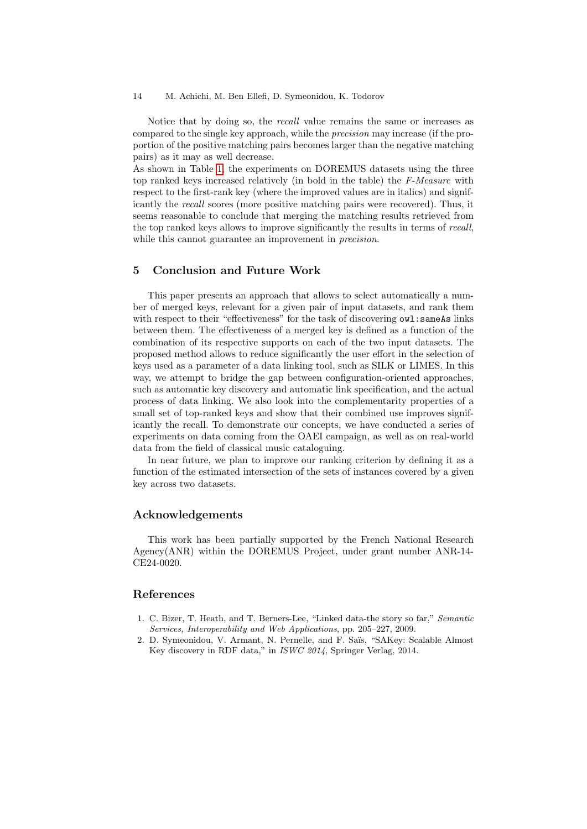### 14 M. Achichi, M. Ben Ellefi, D. Symeonidou, K. Todorov

Notice that by doing so, the recall value remains the same or increases as compared to the single key approach, while the precision may increase (if the proportion of the positive matching pairs becomes larger than the negative matching pairs) as it may as well decrease.

As shown in Table [1,](#page-12-1) the experiments on DOREMUS datasets using the three top ranked keys increased relatively (in bold in the table) the F-Measure with respect to the first-rank key (where the improved values are in italics) and significantly the recall scores (more positive matching pairs were recovered). Thus, it seems reasonable to conclude that merging the matching results retrieved from the top ranked keys allows to improve significantly the results in terms of recall, while this cannot guarantee an improvement in *precision*.

# <span id="page-13-2"></span>5 Conclusion and Future Work

This paper presents an approach that allows to select automatically a number of merged keys, relevant for a given pair of input datasets, and rank them with respect to their "effectiveness" for the task of discovering  $\texttt{owl:sameAs}$  links between them. The effectiveness of a merged key is defined as a function of the combination of its respective supports on each of the two input datasets. The proposed method allows to reduce significantly the user effort in the selection of keys used as a parameter of a data linking tool, such as SILK or LIMES. In this way, we attempt to bridge the gap between configuration-oriented approaches, such as automatic key discovery and automatic link specification, and the actual process of data linking. We also look into the complementarity properties of a small set of top-ranked keys and show that their combined use improves significantly the recall. To demonstrate our concepts, we have conducted a series of experiments on data coming from the OAEI campaign, as well as on real-world data from the field of classical music cataloguing.

In near future, we plan to improve our ranking criterion by defining it as a function of the estimated intersection of the sets of instances covered by a given key across two datasets.

# Acknowledgements

This work has been partially supported by the French National Research Agency(ANR) within the DOREMUS Project, under grant number ANR-14- CE24-0020.

# References

- <span id="page-13-0"></span>1. C. Bizer, T. Heath, and T. Berners-Lee, "Linked data-the story so far," Semantic Services, Interoperability and Web Applications, pp. 205–227, 2009.
- <span id="page-13-1"></span>2. D. Symeonidou, V. Armant, N. Pernelle, and F. Saïs, "SAKey: Scalable Almost Key discovery in RDF data," in ISWC 2014, Springer Verlag, 2014.